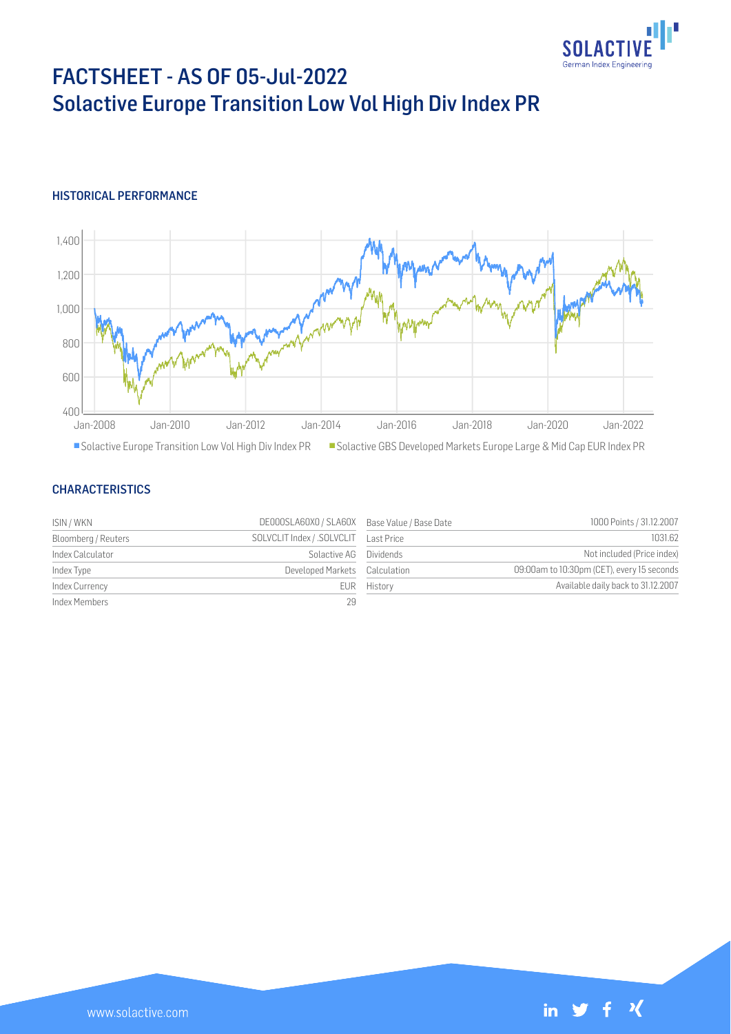

# FACTSHEET - AS OF 05-Jul-2022 Solactive Europe Transition Low Vol High Div Index PR

#### HISTORICAL PERFORMANCE



#### **CHARACTERISTICS**

| ISIN / WKN          | DE000SLA60X0 / SLA60X Base Value / Base Date |             | 1000 Points / 31.12.2007                   |
|---------------------|----------------------------------------------|-------------|--------------------------------------------|
| Bloomberg / Reuters | SOLVCLIT Index / .SOLVCLIT Last Price        |             | 1031.62                                    |
| Index Calculator    | Solactive AG Dividends                       |             | Not included (Price index)                 |
| Index Type          | Developed Markets Calculation                |             | 09:00am to 10:30pm (CET), every 15 seconds |
| Index Currency      |                                              | EUR History | Available daily back to 31.12.2007         |
| Index Members       | 29                                           |             |                                            |

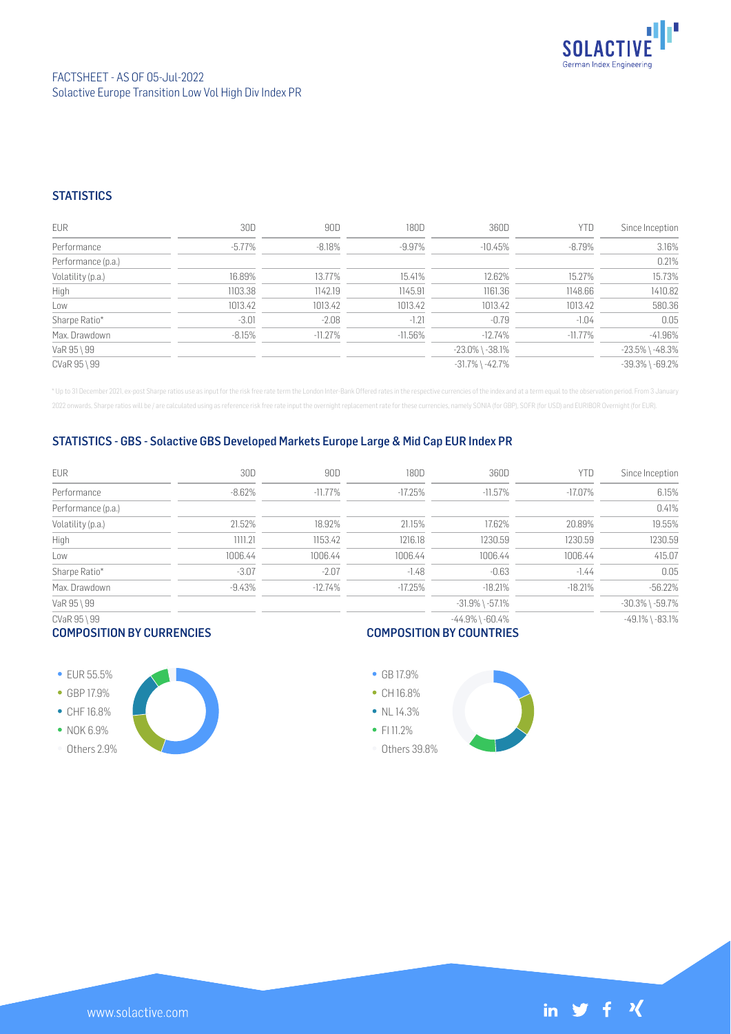

### **STATISTICS**

| <b>EUR</b>         | 30D      | 90D       | 180D      | 360D                  | YTD        | Since Inception       |
|--------------------|----------|-----------|-----------|-----------------------|------------|-----------------------|
| Performance        | -5.77%   | $-8.18\%$ | -9.97%    | $-10.45%$             | $-8.79\%$  | 3.16%                 |
| Performance (p.a.) |          |           |           |                       |            | 0.21%                 |
| Volatility (p.a.)  | 16.89%   | 13.77%    | 15.41%    | 12.62%                | 15.27%     | 15.73%                |
| High               | 1103.38  | 1142.19   | 1145.91   | 1161.36               | 1148.66    | 1410.82               |
| Low                | 1013.42  | 1013.42   | 1013.42   | 1013.42               | 1013.42    | 580.36                |
| Sharpe Ratio*      | $-3.01$  | $-2.08$   | $-1.21$   | $-0.79$               | $-1.04$    | 0.05                  |
| Max. Drawdown      | $-8.15%$ | $-11.27%$ | $-11.56%$ | $-12.74%$             | $-11.77\%$ | $-41.96%$             |
| VaR 95 \ 99        |          |           |           | $-23.0\%$ \ $-38.1\%$ |            | $-23.5\%$ \ $-48.3\%$ |
| CVaR 95 \ 99       |          |           |           | $-31.7\%$ \ $-42.7\%$ |            | $-39.3\%$ \ $-69.2\%$ |

\* Up to 31 December 2021, ex-post Sharpe ratios use as input for the risk free rate term the London Inter-Bank Offered rates in the respective currencies of the index and at a term equal to the observation period. From 3 J 2022 onwards, Sharpe ratios will be / are calculated using as reference risk free rate input the overnight replacement rate for these currencies, namely SONIA (for GBP), SOFR (for USD) and EURIBOR Overnight (for EUR).

#### STATISTICS - GBS - Solactive GBS Developed Markets Europe Large & Mid Cap EUR Index PR

| <b>EUR</b>         | 30D      | 90D        | 180D      | 360D                  | YTD        | Since Inception       |
|--------------------|----------|------------|-----------|-----------------------|------------|-----------------------|
| Performance        | $-8.62%$ | $-11.77\%$ | $-17.25%$ | $-11.57\%$            | $-17.07\%$ | 6.15%                 |
| Performance (p.a.) |          |            |           |                       |            | 0.41%                 |
| Volatility (p.a.)  | 21.52%   | 18.92%     | 21.15%    | 17.62%                | 20.89%     | 19.55%                |
| High               | 1111.21  | 1153.42    | 1216.18   | 1230.59               | 1230.59    | 1230.59               |
| Low                | 1006.44  | 1006.44    | 1006.44   | 1006.44               | 1006.44    | 415.07                |
| Sharpe Ratio*      | $-3.07$  | $-2.07$    | $-1.48$   | $-0.63$               | $-1.44$    | 0.05                  |
| Max. Drawdown      | $-9.43%$ | $-12.74%$  | $-17.25%$ | $-18.21%$             | $-18.21%$  | $-56.22%$             |
| VaR 95 \ 99        |          |            |           | $-31.9\%$ \ $-57.1\%$ |            | $-30.3\%$ \ $-59.7\%$ |
| CVaR 95 \ 99       |          |            |           | $-44.9\%$ \ $-60.4\%$ |            | $-49.1\%$ \ $-83.1\%$ |

### COMPOSITION BY CURRENCIES

## COMPOSITION BY COUNTRIES

**• EUR 55.5%** GBP 17.9% CHF 16.8% • NOK 6.9% Others 2.9%

www.solactive.com

GB 17.9% • CH 16.8%  $\bullet$  NL 14.3% • FI 11.2% Others 39.8%



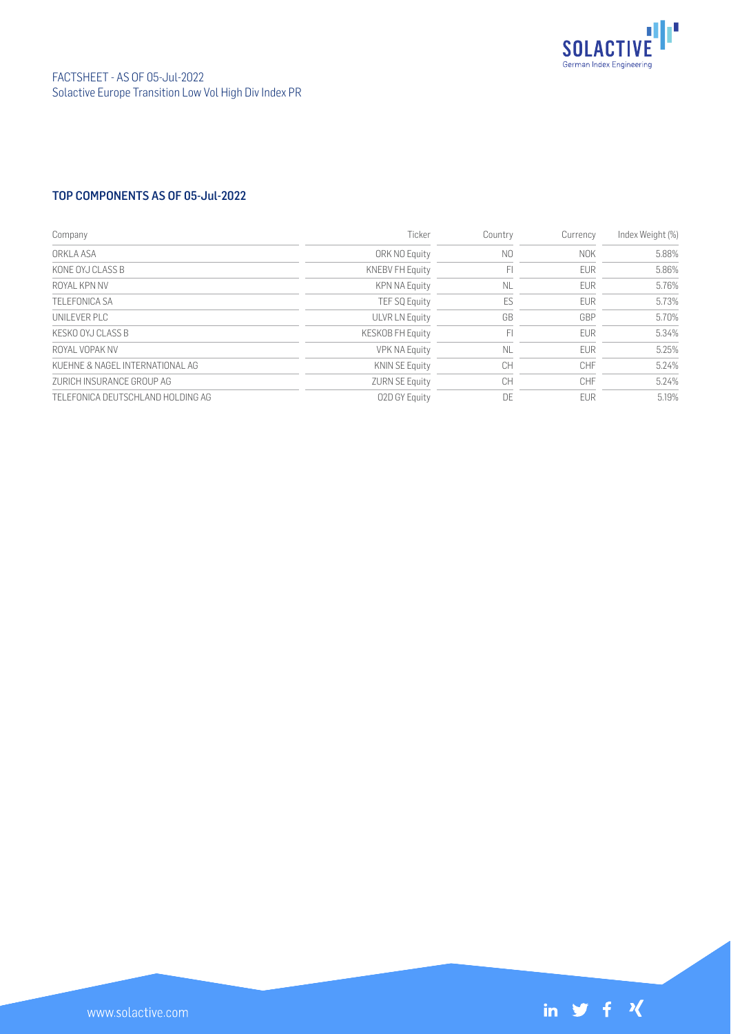

## TOP COMPONENTS AS OF 05-Jul-2022

| Company                            | Ticker                  | Country   | Currency   | Index Weight (%) |
|------------------------------------|-------------------------|-----------|------------|------------------|
| ORKLA ASA                          | ORK NO Equity           | N0        | <b>NOK</b> | 5.88%            |
| KONE OYJ CLASS B                   | <b>KNEBV FH Equity</b>  | F         | <b>EUR</b> | 5.86%            |
| ROYAL KPN NV                       | <b>KPN NA Equity</b>    | <b>NL</b> | <b>EUR</b> | 5.76%            |
| <b>TELEFONICA SA</b>               | <b>TEF SQ Equity</b>    | ES        | <b>EUR</b> | 5.73%            |
| UNII EVER PLC                      | <b>ULVR LN Equity</b>   | GB        | GBP        | 5.70%            |
| KESKO OYJ CLASS B                  | <b>KESKOB FH Equity</b> | F         | <b>EUR</b> | 5.34%            |
| ROYAL VOPAK NV                     | <b>VPK NA Equity</b>    | <b>NL</b> | <b>EUR</b> | 5.25%            |
| KUEHNE & NAGEL INTERNATIONAL AG    | <b>KNIN SE Equity</b>   | <b>CH</b> | <b>CHF</b> | 5.24%            |
| ZURICH INSURANCE GROUP AG          | <b>ZURN SE Equity</b>   | CH        | <b>CHF</b> | 5.24%            |
| TELEFONICA DEUTSCHI AND HOLDING AG | 02D GY Equity           | DF        | <b>FUR</b> | 5.19%            |